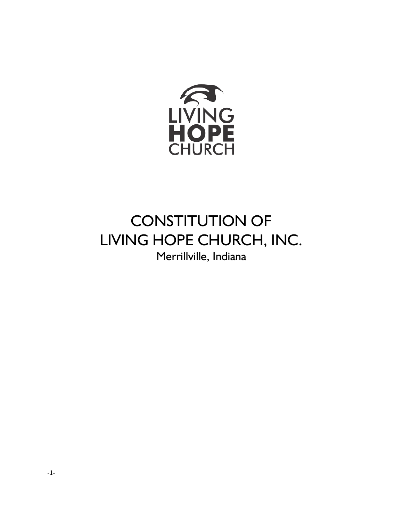

# CONSTITUTION OF LIVING HOPE CHURCH, INC. Merrillville, Indiana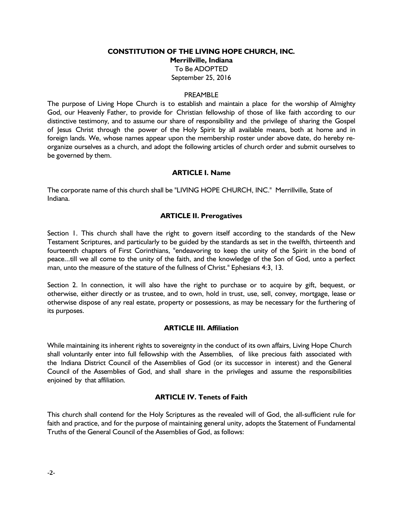# **CONSTITUTION OF THE LIVING HOPE CHURCH, INC. Merrillville, Indiana** To Be ADOPTED September 25, 2016

#### PREAMBLE

The purpose of Living Hope Church is to establish and maintain a place for the worship of Almighty God, our Heavenly Father, to provide for Christian fellowship of those of like faith according to our distinctive testimony, and to assume our share of responsibility and the privilege of sharing the Gospel of Jesus Christ through the power of the Holy Spirit by all available means, both at home and in foreign lands. We, whose names appear upon the membership roster under above date, do hereby reorganize ourselves as a church, and adopt the following articles of church order and submit ourselves to be governed by them.

#### **ARTICLE I. Name**

The corporate name of this church shall be "LIVING HOPE CHURCH, INC." Merrillville, State of Indiana.

#### **ARTICLE II. Prerogatives**

Section 1. This church shall have the right to govern itself according to the standards of the New Testament Scriptures, and particularly to be guided by the standards as set in the twelfth, thirteenth and fourteenth chapters of First Corinthians, "endeavoring to keep the unity of the Spirit in the bond of peace...till we all come to the unity of the faith, and the knowledge of the Son of God, unto a perfect man, unto the measure of the stature of the fullness of Christ." Ephesians 4:3, 13.

Section 2. In connection, it will also have the right to purchase or to acquire by gift, bequest, or otherwise, either directly or as trustee, and to own, hold in trust, use, sell, convey, mortgage, lease or otherwise dispose of any real estate, property or possessions, as may be necessary for the furthering of its purposes.

#### **ARTICLE III. Affiliation**

While maintaining its inherent rights to sovereignty in the conduct of its own affairs, Living Hope Church shall voluntarily enter into full fellowship with the Assemblies, of like precious faith associated with the Indiana District Council of the Assemblies of God (or its successor in interest) and the General Council of the Assemblies of God, and shall share in the privileges and assume the responsibilities enjoined by that affiliation.

#### **ARTICLE IV. Tenets of Faith**

This church shall contend for the Holy Scriptures as the revealed will of God, the all-sufficient rule for faith and practice, and for the purpose of maintaining general unity, adopts the Statement of Fundamental Truths of the General Council of the Assemblies of God, as follows: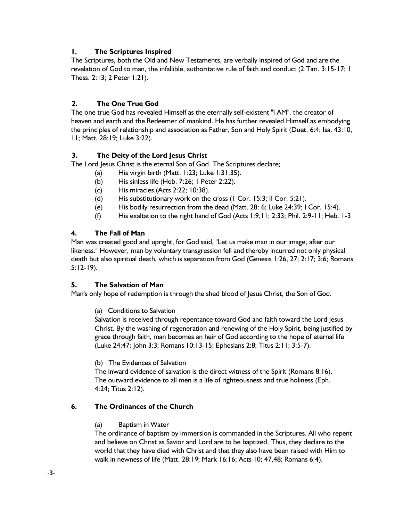# **1. The Scriptures Inspired**

The Scriptures, both the Old and New Testaments, are verbally inspired of God and are the revelation of God to man, the infallible, authoritative rule of faith and conduct (2 Tim. 3:15-17; 1 Thess. 2:13; 2 Peter 1:21).

## **2. The One True God**

The one true God has revealed Himself as the eternally self-existent "I AM", the creator of heaven and earth and the Redeemer of mankind. He has further revealed Himself as embodying the principles of relationship and association as Father, Son and Holy Spirit (Duet. 6:4; Isa. 43:10, 11; Matt. 28:19; Luke 3:22).

## **3. The Deity of the Lord Jesus Christ**

The Lord Jesus Christ is the eternal Son of God. The Scriptures declare;

- (a) His virgin birth (Matt. 1:23; Luke 1:31,35).
- (b) His sinless life (Heb. 7:26; 1 Peter 2:22).
- (c) His miracles (Acts 2:22; 10:38).
- (d) His substitutionary work on the cross (1 Cor. 15:3; II Cor. 5:21).
- (e) His bodily resurrection from the dead (Matt. 28: 6; Luke 24:39; I Cor. 15:4).
- (f) His exaltation to the right hand of God (Acts 1:9,11; 2:33; Phil. 2:9-11; Heb. 1-3

## **4. The Fall of Man**

Man was created good and upright, for God said, "Let us make man in our image, after our likeness." However, man by voluntary transgression fell and thereby incurred not only physical death but also spiritual death, which is separation from God (Genesis 1:26, 27; 2:17; 3:6; Romans 5:12-19).

#### **5. The Salvation of Man**

Man's only hope of redemption is through the shed blood of Jesus Christ, the Son of God.

#### (a) Conditions to Salvation

Salvation is received through repentance toward God and faith toward the Lord Jesus Christ. By the washing of regeneration and renewing of the Holy Spirit, being justified by grace through faith, man becomes an heir of God according to the hope of eternal life (Luke 24:47; John 3:3; Romans 10:13-15; Ephesians 2:8; Titus 2:11; 3:5-7).

(b) The Evidences of Salvation

The inward evidence of salvation is the direct witness of the Spirit (Romans 8:16). The outward evidence to all men is a life of righteousness and true holiness (Eph. 4:24; Titus 2:12).

## **6. The Ordinances of the Church**

#### (a) Baptism in Water

The ordinance of baptism by immersion is commanded in the Scriptures. All who repent and believe on Christ as Savior and Lord are to be baptized. Thus, they declare to the world that they have died with Christ and that they also have been raised with Him to walk in newness of life (Matt. 28:19; Mark 16:16; Acts 10; 47,48; Romans 6:4).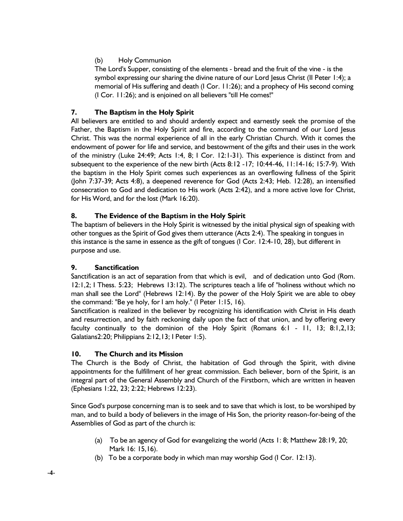# (b) Holy Communion

The Lord's Supper, consisting of the elements - bread and the fruit of the vine - is the symbol expressing our sharing the divine nature of our Lord Jesus Christ (II Peter 1:4); a memorial of His suffering and death (I Cor. 11:26); and a prophecy of His second coming (I Cor. 11:26); and is enjoined on all believers "till He comes!"

# **7. The Baptism in the Holy Spirit**

All believers are entitled to and should ardently expect and earnestly seek the promise of the Father, the Baptism in the Holy Spirit and fire, according to the command of our Lord Jesus Christ. This was the normal experience of all in the early Christian Church. With it comes the endowment of power for life and service, and bestowment of the gifts and their uses in the work of the ministry (Luke 24:49; Acts 1:4, 8; I Cor. 12:1-31). This experience is distinct from and subsequent to the experience of the new birth (Acts 8:12 -17; 10:44-46, 11:14-16; 15:7-9)*.* With the baptism in the Holy Spirit comes such experiences as an overflowing fullness of the Spirit (John 7:37-39; Acts 4:8), a deepened reverence for God (Acts 2:43; Heb. 12:28), an intensified consecration to God and dedication to His work (Acts 2:42), and a more active love for Christ, for His Word, and for the lost (Mark 16:20).

# **8. The Evidence of the Baptism in the Holy Spirit**

The baptism of believers in the Holy Spirit is witnessed by the initial physical sign of speaking with other tongues as the Spirit of God gives them utterance (Acts 2:4). The speaking in tongues in this instance is the same in essence as the gift of tongues (I Cor. 12:4-10, 28), but different in purpose and use.

# **9. Sanctification**

Sanctification is an act of separation from that which is evil, and of dedication unto God (Rom. 12:1,2; I Thess. 5:23; Hebrews 13:12). The scriptures teach a life of "holiness without which no man shall see the Lord" (Hebrews 12:14). By the power of the Holy Spirit we are able to obey the command: "Be ye holy, for I am holy." (I Peter 1:15, 16).

Sanctification is realized in the believer by recognizing his identification with Christ in His death and resurrection, and by faith reckoning daily upon the fact of that union, and by offering every faculty continually to the dominion of the Holy Spirit (Romans 6:1 - 11, 13; 8:1,2,13; Galatians2:20; Philippians 2:12,13; I Peter 1:5).

# **10. The Church and its Mission**

The Church is the Body of Christ, the habitation of God through the Spirit, with divine appointments for the fulfillment of her great commission. Each believer, born of the Spirit, is an integral part of the General Assembly and Church of the Firstborn, which are written in heaven (Ephesians 1:22, 23; 2:22; Hebrews 12:23).

Since God's purpose concerning man is to seek and to save that which is lost, to be worshiped by man, and to build a body of believers in the image of His Son, the priority reason-for-being of the Assemblies of God as part of the church is:

- (a) To be an agency of God for evangelizing the world (Acts 1: 8; Matthew 28:19, 20; Mark 16: 15,16).
- (b) To be a corporate body in which man may worship God (I Cor. 12:13).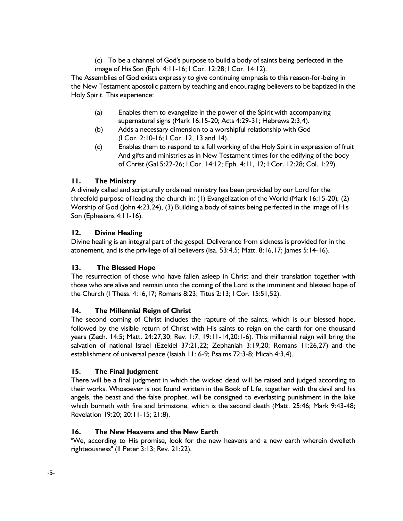(c) To be a channel of God's purpose to build a body of saints being perfected in the image of His Son (Eph. 4:11-16; I Cor. 12:28; I Cor. 14:12).

The Assemblies of God exists expressly to give continuing emphasis to this reason-for-being in the New Testament apostolic pattern by teaching and encouraging believers to be baptized in the Holy Spirit. This experience:

- (a) Enables them to evangelize in the power of the Spirit with accompanying supernatural signs (Mark 16:15-20; Acts 4:29-31; Hebrews 2:3,4).
- (b) Adds a necessary dimension to a worshipful relationship with God (I Cor. 2:10-16; I Cor. 12, 13 and 14).
- (c) Enables them to respond to a full working of the Holy Spirit in expression of fruit And gifts and ministries as in New Testament times for the edifying of the body of Christ (Gal.5:22-26; I Cor. 14:12; Eph. 4:11, 12; I Cor. 12:28; Col. 1:29).

# **11. The Ministry**

A divinely called and scripturally ordained ministry has been provided by our Lord for the threefold purpose of leading the church in: (1) Evangelization of the World (Mark 16:15-20)*,* (2) Worship of God (John 4:23,24), (3) Building a body of saints being perfected in the image of His Son (Ephesians 4:11-16).

# **12. Divine Healing**

Divine healing is an integral part of the gospel. Deliverance from sickness is provided for in the atonement, and is the privilege of all believers (Isa. 53:4,5; Matt. 8:16,17; James 5:14-16).

# **13. The Blessed Hope**

The resurrection of those who have fallen asleep in Christ and their translation together with those who are alive and remain unto the coming of the Lord is the imminent and blessed hope of the Church (I Thess. 4:16,17; Romans 8:23; Titus 2:13; I Cor. 15:51,52).

# **14. The Millennial Reign of Christ**

The second coming of Christ includes the rapture of the saints, which is our blessed hope, followed by the visible return of Christ with His saints to reign on the earth for one thousand years (Zech. 14:5; Matt. 24:27,30; Rev. 1:7, 19:11-14,20:1-6). This millennial reign will bring the salvation of national Israel (Ezekiel 37:21,22; Zephaniah 3:19,20; Romans 11:26,27) and the establishment of universal peace (Isaiah 11: 6-9; Psalms 72:3-8; Micah 4:3,4).

# **15. The Final Judgment**

There will be a final judgment in which the wicked dead will be raised and judged according to their works. Whosoever is not found written in the Book of Life, together with the devil and his angels, the beast and the false prophet, will be consigned to everlasting punishment in the lake which burneth with fire and brimstone, which is the second death (Matt. 25:46; Mark 9:43-48; Revelation 19:20; 20:11-15; 21:8).

# **16. The New Heavens and the New Earth**

"We, according to His promise, look for the new heavens and a new earth wherein dwelleth righteousness" (II Peter 3:13; Rev. 21:22).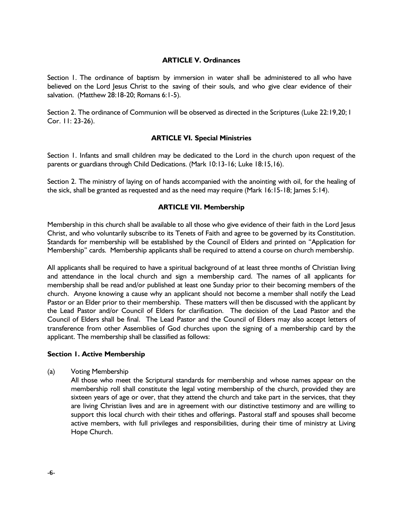#### **ARTICLE V. Ordinances**

Section 1. The ordinance of baptism by immersion in water shall be administered to all who have believed on the Lord Jesus Christ to the saving of their souls, and who give clear evidence of their salvation. (Matthew 28:18-20; Romans 6:1-5).

Section 2. The ordinance of Communion will be observed as directed in the Scriptures (Luke 22:19,20; I Cor. 11: 23-26).

#### **ARTICLE VI. Special Ministries**

Section 1. Infants and small children may be dedicated to the Lord in the church upon request of the parents or guardians through Child Dedications. (Mark 10:13-16; Luke 18:15,16).

Section 2. The ministry of laying on of hands accompanied with the anointing with oil, for the healing of the sick, shall be granted as requested and as the need may require (Mark 16:15-18; James 5:14).

#### **ARTICLE VII. Membership**

Membership in this church shall be available to all those who give evidence of their faith in the Lord Jesus Christ, and who voluntarily subscribe to its Tenets of Faith and agree to be governed by its Constitution. Standards for membership will be established by the Council of Elders and printed on "Application for Membership" cards. Membership applicants shall be required to attend a course on church membership.

All applicants shall be required to have a spiritual background of at least three months of Christian living and attendance in the local church and sign a membership card. The names of all applicants for membership shall be read and/or published at least one Sunday prior to their becoming members of the church. Anyone knowing a cause why an applicant should not become a member shall notify the Lead Pastor or an Elder prior to their membership. These matters will then be discussed with the applicant by the Lead Pastor and/or Council of Elders for clarification. The decision of the Lead Pastor and the Council of Elders shall be final. The Lead Pastor and the Council of Elders may also accept letters of transference from other Assemblies of God churches upon the signing of a membership card by the applicant. The membership shall be classified as follows:

#### **Section 1. Active Membership**

(a) Voting Membership

All those who meet the Scriptural standards for membership and whose names appear on the membership roll shall constitute the legal voting membership of the church, provided they are sixteen years of age or over, that they attend the church and take part in the services, that they are living Christian lives and are in agreement with our distinctive testimony and are willing to support this local church with their tithes and offerings. Pastoral staff and spouses shall become active members, with full privileges and responsibilities, during their time of ministry at Living Hope Church.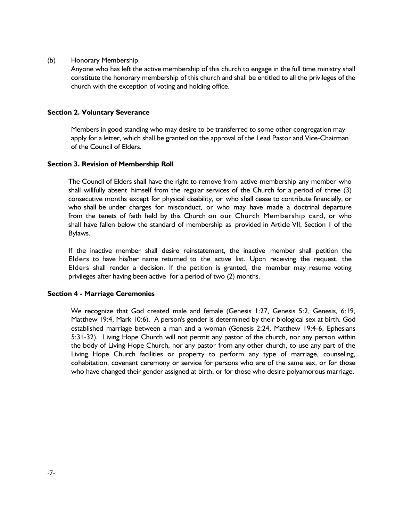#### (b) Honorary Membership

Anyone who has left the active membership of this church to engage in the full time ministry shall constitute the honorary membership of this church and shall be entitled to all the privileges of the church with the exception of voting and holding office.

#### **Section 2. Voluntary Severance**

Members in good standing who may desire to be transferred to some other congregation may apply for a letter, which shall be granted on the approval of the Lead Pastor and Vice-Chairman of the Council of Elders.

#### **Section 3. Revision of Membership Roll**

The Council of Elders shall have the right to remove from active membership any member who shall willfully absent himself from the regular services of the Church for a period of three (3) consecutive months except for physical disability, or who shall cease to contribute financially, or who shall be under charges for misconduct, or who may have made a doctrinal departure from the tenets of faith held by this Church on our Church Membership card, or who shall have fallen below the standard of membership as provided in Article VII, Section 1 of the Bylaws.

If the inactive member shall desire reinstatement, the inactive member shall petition the Elders to have his/her name returned to the active list. Upon receiving the request, the Elders shall render a decision. If the petition is granted, the member may resume voting privileges after having been active for a period of two (2) months.

#### **Section 4 - Marriage Ceremonies**

We recognize that God created male and female (Genesis 1:27, Genesis 5:2, Genesis, 6:19, Matthew 19:4, Mark 10:6). A person's gender is determined by their biological sex at birth. God established marriage between a man and a woman (Genesis 2:24, Matthew 19:4-6, Ephesians 5:31-32). Living Hope Church will not permit any pastor of the church, nor any person within the body of Living Hope Church, nor any pastor from any other church, to use any part of the Living Hope Church facilities or property to perform any type of marriage, counseling, cohabitation, covenant ceremony or service for persons who are of the same sex, or for those who have changed their gender assigned at birth, or for those who desire polyamorous marriage.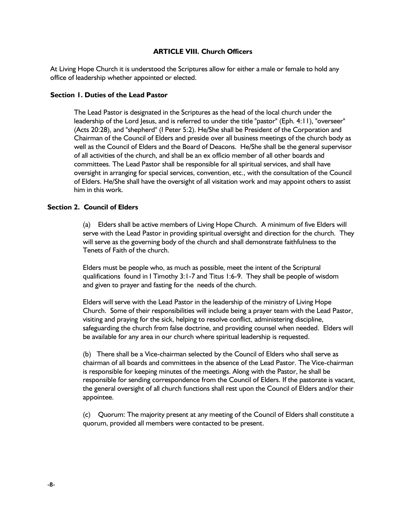#### **ARTICLE VIII. Church Officers**

At Living Hope Church it is understood the Scriptures allow for either a male or female to hold any office of leadership whether appointed or elected.

#### **Section 1. Duties of the Lead Pastor**

The Lead Pastor is designated in the Scriptures as the head of the local church under the leadership of the Lord Jesus, and is referred to under the title "pastor" (Eph. 4:11), "overseer" (Acts 20:28), and "shepherd" (I Peter 5:2). He/She shall be President of the Corporation and Chairman of the Council of Elders and preside over all business meetings of the church body as well as the Council of Elders and the Board of Deacons. He/She shall be the general supervisor of all activities of the church, and shall be an ex officio member of all other boards and committees. The Lead Pastor shall be responsible for all spiritual services, and shall have oversight in arranging for special services, convention, etc., with the consultation of the Council of Elders. He/She shall have the oversight of all visitation work and may appoint others to assist him in this work.

#### **Section 2. Council of Elders**

(a) Elders shall be active members of Living Hope Church. A minimum of five Elders will serve with the Lead Pastor in providing spiritual oversight and direction for the church. They will serve as the governing body of the church and shall demonstrate faithfulness to the Tenets of Faith of the church.

Elders must be people who, as much as possible, meet the intent of the Scriptural qualifications found in I Timothy 3:1-7 and Titus 1:6-9. They shall be people of wisdom and given to prayer and fasting for the needs of the church.

Elders will serve with the Lead Pastor in the leadership of the ministry of Living Hope Church. Some of their responsibilities will include being a prayer team with the Lead Pastor, visiting and praying for the sick, helping to resolve conflict, administering discipline, safeguarding the church from false doctrine, and providing counsel when needed. Elders will be available for any area in our church where spiritual leadership is requested.

(b) There shall be a Vice-chairman selected by the Council of Elders who shall serve as chairman of all boards and committees in the absence of the Lead Pastor. The Vice-chairman is responsible for keeping minutes of the meetings. Along with the Pastor, he shall be responsible for sending correspondence from the Council of Elders. If the pastorate is vacant, the general oversight of all church functions shall rest upon the Council of Elders and/or their appointee.

(c) Quorum: The majority present at any meeting of the Council of Elders shall constitute a quorum, provided all members were contacted to be present.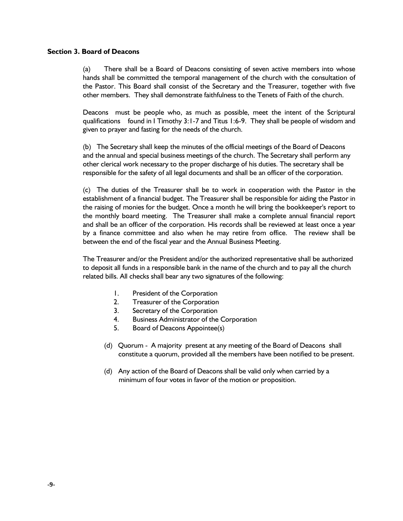#### **Section 3. Board of Deacons**

(a) There shall be a Board of Deacons consisting of seven active members into whose hands shall be committed the temporal management of the church with the consultation of the Pastor. This Board shall consist of the Secretary and the Treasurer, together with five other members. They shall demonstrate faithfulness to the Tenets of Faith of the church.

Deacons must be people who, as much as possible, meet the intent of the Scriptural qualifications found in I Timothy 3:1-7 and Titus 1:6-9. They shall be people of wisdom and given to prayer and fasting for the needs of the church.

(b) The Secretary shall keep the minutes of the official meetings of the Board of Deacons and the annual and special business meetings of the church. The Secretary shall perform any other clerical work necessary to the proper discharge of his duties. The secretary shall be responsible for the safety of all legal documents and shall be an officer of the corporation.

(c) The duties of the Treasurer shall be to work in cooperation with the Pastor in the establishment of a financial budget. The Treasurer shall be responsible for aiding the Pastor in the raising of monies for the budget. Once a month he will bring the bookkeeper's report to the monthly board meeting. The Treasurer shall make a complete annual financial report and shall be an officer of the corporation. His records shall be reviewed at least once a year by a finance committee and also when he may retire from office. The review shall be between the end of the fiscal year and the Annual Business Meeting.

The Treasurer and/or the President and/or the authorized representative shall be authorized to deposit all funds in a responsible bank in the name of the church and to pay all the church related bills. All checks shall bear any two signatures of the following:

- 1. President of the Corporation
- 2. Treasurer of the Corporation
- 3. Secretary of the Corporation
- 4. Business Administrator of the Corporation
- 5. Board of Deacons Appointee(s)
- (d) Quorum A majority present at any meeting of the Board of Deacons shall constitute a quorum, provided all the members have been notified to be present.
- (d) Any action of the Board of Deacons shall be valid only when carried by a minimum of four votes in favor of the motion or proposition.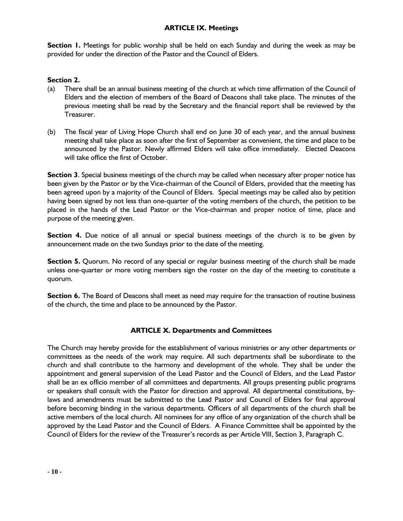## **ARTICLE IX. Meetings**

**Section 1.** Meetings for public worship shall be held on each Sunday and during the week as may be provided for under the direction of the Pastor and the Council of Elders.

## **Section 2.**

- (a) There shall be an annual business meeting of the church at which time affirmation of the Council of Elders and the election of members of the Board of Deacons shall take place. The minutes of the previous meeting shall be read by the Secretary and the financial report shall be reviewed by the Treasurer.
- (b) The fiscal year of Living Hope Church shall end on June 30 of each year, and the annual business meeting shall take place as soon after the first of September as convenient, the time and place to be announced by the Pastor. Newly affirmed Elders will take office immediately. Elected Deacons will take office the first of October.

**Section 3**. Special business meetings of the church may be called when necessary after proper notice has been given by the Pastor or by the Vice-chairman of the Council of Elders, provided that the meeting has been agreed upon by a majority of the Council of Elders. Special meetings may be called also by petition having been signed by not less than one-quarter of the voting members of the church, the petition to be placed in the hands of the Lead Pastor or the Vice-chairman and proper notice of time, place and purpose of the meeting given.

**Section 4.** Due notice of all annual or special business meetings of the church is to be given by announcement made on the two Sundays prior to the date of the meeting.

**Section 5.** Quorum. No record of any special or regular business meeting of the church shall be made unless one-quarter or more voting members sign the roster on the day of the meeting to constitute a quorum.

**Section 6.** The Board of Deacons shall meet as need may require for the transaction of routine business of the church, the time and place to be announced by the Pastor.

#### **ARTICLE X. Departments and Committees**

The Church may hereby provide for the establishment of various ministries or any other departments or committees as the needs of the work may require. All such departments shall be subordinate to the church and shall contribute to the harmony and development of the whole. They shall be under the appointment and general supervision of the Lead Pastor and the Council of Elders, and the Lead Pastor shall be an ex officio member of all committees and departments. All groups presenting public programs or speakers shall consult with the Pastor for direction and approval. All departmental constitutions, bylaws and amendments must be submitted to the Lead Pastor and Council of Elders for final approval before becoming binding in the various departments. Officers of all departments of the church shall be active members of the local church. All nominees for any office of any organization of the church shall be approved by the Lead Pastor and the Council of Elders. A Finance Committee shall be appointed by the Council of Elders for the review of the Treasurer's records as per Article VIII, Section 3, Paragraph C.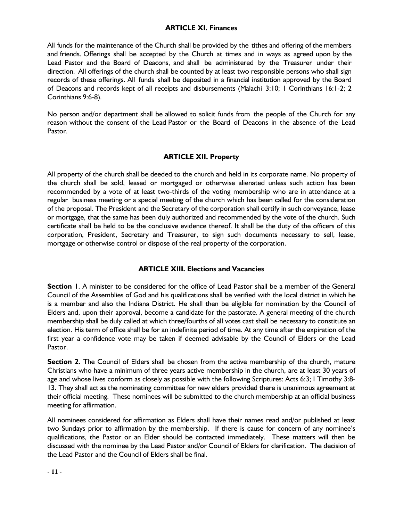### **ARTICLE XI. Finances**

All funds for the maintenance of the Church shall be provided by the tithes and offering of the members and friends. Offerings shall be accepted by the Church at times and in ways as agreed upon by the Lead Pastor and the Board of Deacons, and shall be administered by the Treasurer under their direction. All offerings of the church shall be counted by at least two responsible persons who shall sign records of these offerings. All funds shall be deposited in a financial institution approved by the Board of Deacons and records kept of all receipts and disbursements (Malachi 3:10; 1 Corinthians 16:1-2; 2 Corinthians 9:6-8).

No person and/or department shall be allowed to solicit funds from the people of the Church for any reason without the consent of the Lead Pastor or the Board of Deacons in the absence of the Lead Pastor.

# **ARTICLE XII. Property**

All property of the church shall be deeded to the church and held in its corporate name. No property of the church shall be sold, leased or mortgaged or otherwise alienated unless such action has been recommended by a vote of at least two-thirds of the voting membership who are in attendance at a regular business meeting or a special meeting of the church which has been called for the consideration of the proposal. The President and the Secretary of the corporation shall certify in such conveyance, lease or mortgage, that the same has been duly authorized and recommended by the vote of the church. Such certificate shall be held to be the conclusive evidence thereof. It shall be the duty of the officers of this corporation, President, Secretary and Treasurer, to sign such documents necessary to sell, lease, mortgage or otherwise control or dispose of the real property of the corporation.

#### **ARTICLE XIII. Elections and Vacancies**

**Section 1**. A minister to be considered for the office of Lead Pastor shall be a member of the General Council of the Assemblies of God and his qualifications shall be verified with the local district in which he is a member and also the Indiana District. He shall then be eligible for nomination by the Council of Elders and, upon their approval, become a candidate for the pastorate. A general meeting of the church membership shall be duly called at which three/fourths of all votes cast shall be necessary to constitute an election. His term of office shall be for an indefinite period of time. At any time after the expiration of the first year a confidence vote may be taken if deemed advisable by the Council of Elders or the Lead Pastor.

**Section 2**. The Council of Elders shall be chosen from the active membership of the church, mature Christians who have a minimum of three years active membership in the church, are at least 30 years of age and whose lives conform as closely as possible with the following Scriptures: Acts 6:3; I Timothy 3:8- 13**.** They shall act as the nominating committee for new elders provided there is unanimous agreement at their official meeting. These nominees will be submitted to the church membership at an official business meeting for affirmation.

All nominees considered for affirmation as Elders shall have their names read and/or published at least two Sundays prior to affirmation by the membership. If there is cause for concern of any nominee's qualifications, the Pastor or an Elder should be contacted immediately. These matters will then be discussed with the nominee by the Lead Pastor and/or Council of Elders for clarification. The decision of the Lead Pastor and the Council of Elders shall be final.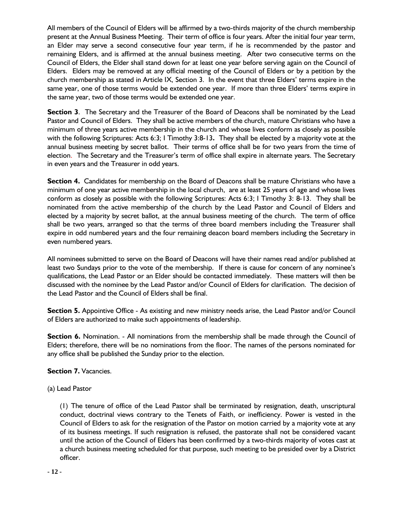All members of the Council of Elders will be affirmed by a two-thirds majority of the church membership present at the Annual Business Meeting. Their term of office is four years. After the initial four year term, an Elder may serve a second consecutive four year term, if he is recommended by the pastor and remaining Elders, and is affirmed at the annual business meeting. After two consecutive terms on the Council of Elders, the Elder shall stand down for at least one year before serving again on the Council of Elders. Elders may be removed at any official meeting of the Council of Elders or by a petition by the church membership as stated in Article IX, Section 3. In the event that three Elders' terms expire in the same year, one of those terms would be extended one year. If more than three Elders' terms expire in the same year, two of those terms would be extended one year.

**Section 3**. The Secretary and the Treasurer of the Board of Deacons shall be nominated by the Lead Pastor and Council of Elders. They shall be active members of the church, mature Christians who have a minimum of three years active membership in the church and whose lives conform as closely as possible with the following Scriptures: Acts 6:3; I Timothy 3:8-13**.** They shall be elected by a majority vote at the annual business meeting by secret ballot. Their terms of office shall be for two years from the time of election. The Secretary and the Treasurer's term of office shall expire in alternate years. The Secretary in even years and the Treasurer in odd years.

**Section 4.** Candidates for membership on the Board of Deacons shall be mature Christians who have a minimum of one year active membership in the local church, are at least 25 years of age and whose lives conform as closely as possible with the following Scriptures: Acts 6:3; I Timothy 3: 8-13. They shall be nominated from the active membership of the church by the Lead Pastor and Council of Elders and elected by a majority by secret ballot, at the annual business meeting of the church. The term of office shall be two years, arranged so that the terms of three board members including the Treasurer shall expire in odd numbered years and the four remaining deacon board members including the Secretary in even numbered years.

All nominees submitted to serve on the Board of Deacons will have their names read and/or published at least two Sundays prior to the vote of the membership. If there is cause for concern of any nominee's qualifications, the Lead Pastor or an Elder should be contacted immediately. These matters will then be discussed with the nominee by the Lead Pastor and/or Council of Elders for clarification. The decision of the Lead Pastor and the Council of Elders shall be final.

**Section 5.** Appointive Office - As existing and new ministry needs arise, the Lead Pastor and/or Council of Elders are authorized to make such appointments of leadership.

**Section 6.** Nomination. - All nominations from the membership shall be made through the Council of Elders; therefore, there will be no nominations from the floor. The names of the persons nominated for any office shall be published the Sunday prior to the election.

**Section 7.** Vacancies.

(a) Lead Pastor

(1) The tenure of office of the Lead Pastor shall be terminated by resignation, death, unscriptural conduct, doctrinal views contrary to the Tenets of Faith, or inefficiency. Power is vested in the Council of Elders to ask for the resignation of the Pastor on motion carried by a majority vote at any of its business meetings. If such resignation is refused, the pastorate shall not be considered vacant until the action of the Council of Elders has been confirmed by a two-thirds majority of votes cast at a church business meeting scheduled for that purpose, such meeting to be presided over by a District officer.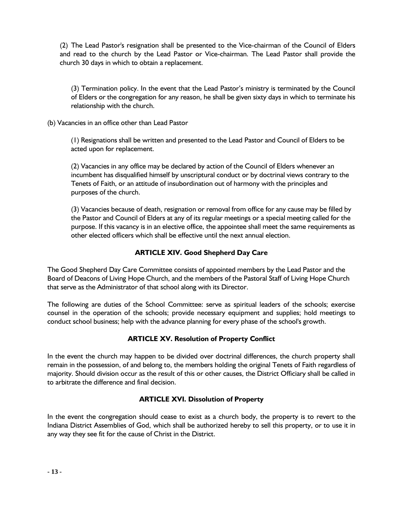(2) The Lead Pastor's resignation shall be presented to the Vice-chairman of the Council of Elders and read to the church by the Lead Pastor or Vice-chairman. The Lead Pastor shall provide the church 30 days in which to obtain a replacement.

(3) Termination policy. In the event that the Lead Pastor's ministry is terminated by the Council of Elders or the congregation for any reason, he shall be given sixty days in which to terminate his relationship with the church.

(b) Vacancies in an office other than Lead Pastor

(1) Resignations shall be written and presented to the Lead Pastor and Council of Elders to be acted upon for replacement.

(2) Vacancies in any office may be declared by action of the Council of Elders whenever an incumbent has disqualified himself by unscriptural conduct or by doctrinal views contrary to the Tenets of Faith, or an attitude of insubordination out of harmony with the principles and purposes of the church.

(3) Vacancies because of death, resignation or removal from office for any cause may be filled by the Pastor and Council of Elders at any of its regular meetings or a special meeting called for the purpose. If this vacancy is in an elective office, the appointee shall meet the same requirements as other elected officers which shall be effective until the next annual election.

# **ARTICLE XIV. Good Shepherd Day Care**

The Good Shepherd Day Care Committee consists of appointed members by the Lead Pastor and the Board of Deacons of Living Hope Church, and the members of the Pastoral Staff of Living Hope Church that serve as the Administrator of that school along with its Director.

The following are duties of the School Committee: serve as spiritual leaders of the schools; exercise counsel in the operation of the schools; provide necessary equipment and supplies; hold meetings to conduct school business; help with the advance planning for every phase of the school's growth.

#### **ARTICLE XV. Resolution of Property Conflict**

In the event the church may happen to be divided over doctrinal differences, the church property shall remain in the possession, of and belong to, the members holding the original Tenets of Faith regardless of majority. Should division occur as the result of this or other causes, the District Officiary shall be called in to arbitrate the difference and final decision.

# **ARTICLE XVI. Dissolution of Property**

In the event the congregation should cease to exist as a church body, the property is to revert to the Indiana District Assemblies of God, which shall be authorized hereby to sell this property, or to use it in any way they see fit for the cause of Christ in the District.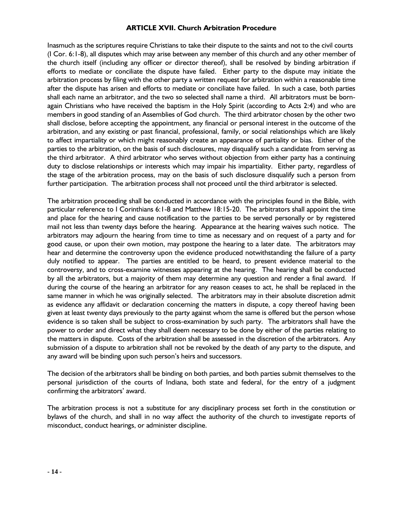#### **ARTICLE XVII. Church Arbitration Procedure**

Inasmuch as the scriptures require Christians to take their dispute to the saints and not to the civil courts (I Cor. 6:1-8), all disputes which may arise between any member of this church and any other member of the church itself (including any officer or director thereof), shall be resolved by binding arbitration if efforts to mediate or conciliate the dispute have failed. Either party to the dispute may initiate the arbitration process by filing with the other party a written request for arbitration within a reasonable time after the dispute has arisen and efforts to mediate or conciliate have failed. In such a case, both parties shall each name an arbitrator, and the two so selected shall name a third. All arbitrators must be bornagain Christians who have received the baptism in the Holy Spirit (according to Acts 2:4) and who are members in good standing of an Assemblies of God church. The third arbitrator chosen by the other two shall disclose, before accepting the appointment, any financial or personal interest in the outcome of the arbitration, and any existing or past financial, professional, family, or social relationships which are likely to affect impartiality or which might reasonably create an appearance of partiality or bias. Either of the parties to the arbitration, on the basis of such disclosures, may disqualify such a candidate from serving as the third arbitrator. A third arbitrator who serves without objection from either party has a continuing duty to disclose relationships or interests which may impair his impartiality. Either party, regardless of the stage of the arbitration process, may on the basis of such disclosure disqualify such a person from further participation. The arbitration process shall not proceed until the third arbitrator is selected.

The arbitration proceeding shall be conducted in accordance with the principles found in the Bible, with particular reference to I Corinthians 6:1-8 and Matthew 18:15-20. The arbitrators shall appoint the time and place for the hearing and cause notification to the parties to be served personally or by registered mail not less than twenty days before the hearing. Appearance at the hearing waives such notice. The arbitrators may adjourn the hearing from time to time as necessary and on request of a party and for good cause, or upon their own motion, may postpone the hearing to a later date. The arbitrators may hear and determine the controversy upon the evidence produced notwithstanding the failure of a party duly notified to appear. The parties are entitled to be heard, to present evidence material to the controversy, and to cross-examine witnesses appearing at the hearing. The hearing shall be conducted by all the arbitrators, but a majority of them may determine any question and render a final award. If during the course of the hearing an arbitrator for any reason ceases to act, he shall be replaced in the same manner in which he was originally selected. The arbitrators may in their absolute discretion admit as evidence any affidavit or declaration concerning the matters in dispute, a copy thereof having been given at least twenty days previously to the party against whom the same is offered but the person whose evidence is so taken shall be subject to cross-examination by such party. The arbitrators shall have the power to order and direct what they shall deem necessary to be done by either of the parties relating to the matters in dispute. Costs of the arbitration shall be assessed in the discretion of the arbitrators. Any submission of a dispute to arbitration shall not be revoked by the death of any party to the dispute, and any award will be binding upon such person's heirs and successors.

The decision of the arbitrators shall be binding on both parties, and both parties submit themselves to the personal jurisdiction of the courts of Indiana, both state and federal, for the entry of a judgment confirming the arbitrators' award.

The arbitration process is not a substitute for any disciplinary process set forth in the constitution or bylaws of the church, and shall in no way affect the authority of the church to investigate reports of misconduct, conduct hearings, or administer discipline.